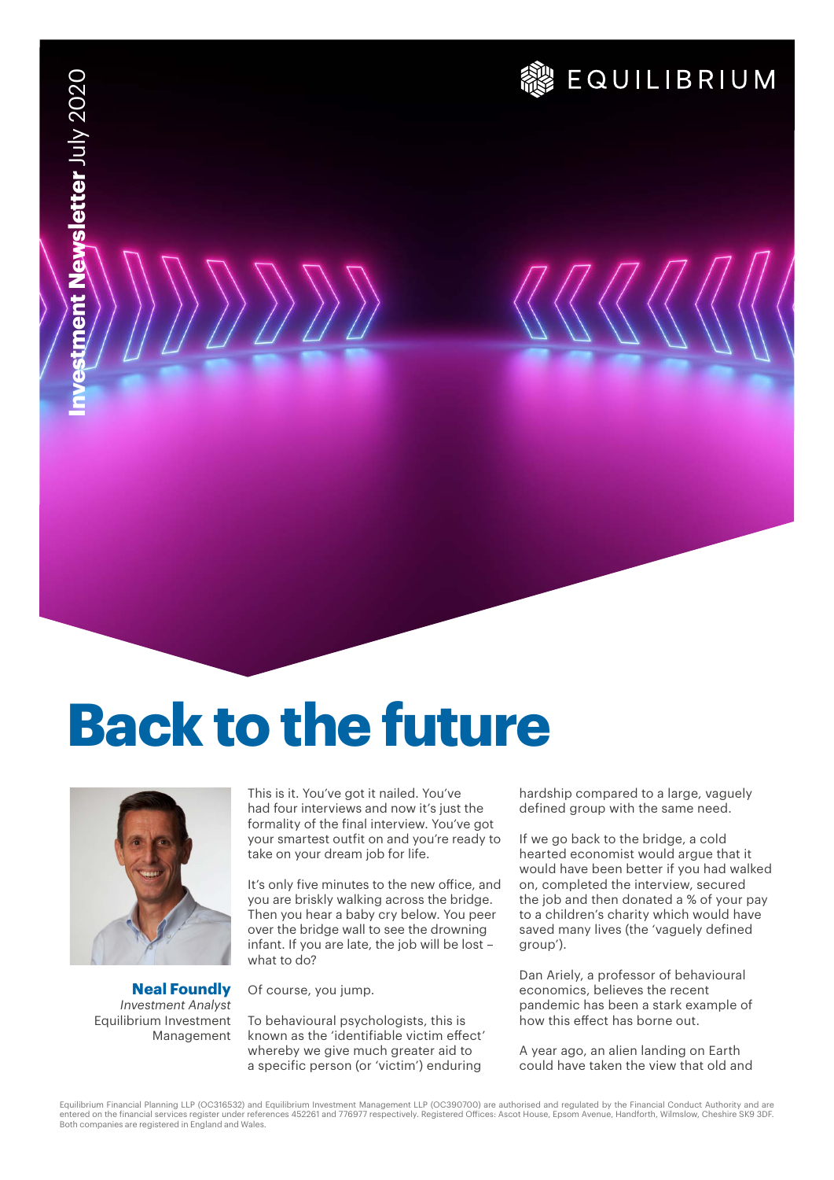# **& EQUILIBRIUM**

# **Back to the future**



**Neal Foundly** *Investment Analyst* Equilibrium Investment Management This is it. You've got it nailed. You've had four interviews and now it's just the formality of the final interview. You've got your smartest outfit on and you're ready to take on your dream job for life.

It's only five minutes to the new office, and you are briskly walking across the bridge. Then you hear a baby cry below. You peer over the bridge wall to see the drowning infant. If you are late, the job will be lost – what to do?

Of course, you jump.

To behavioural psychologists, this is known as the 'identifiable victim effect' whereby we give much greater aid to a specific person (or 'victim') enduring

hardship compared to a large, vaguely defined group with the same need.

If we go back to the bridge, a cold hearted economist would argue that it would have been better if you had walked on, completed the interview, secured the job and then donated a % of your pay to a children's charity which would have saved many lives (the 'vaguely defined group').

Dan Ariely, a professor of behavioural economics, believes the recent pandemic has been a stark example of how this effect has borne out.

A year ago, an alien landing on Earth could have taken the view that old and

Equilibrium Financial Planning LLP (OC316532) and Equilibrium Investment Management LLP (OC390700) are authorised and regulated by the Financial Conduct Authority and are entered on the financial services register under references 452261 and 776977 respectively. Registered Offices: Ascot House, Epsom Avenue, Handforth, Wilmslow, Cheshire SK9 3DF.<br>Both companies are registered in England and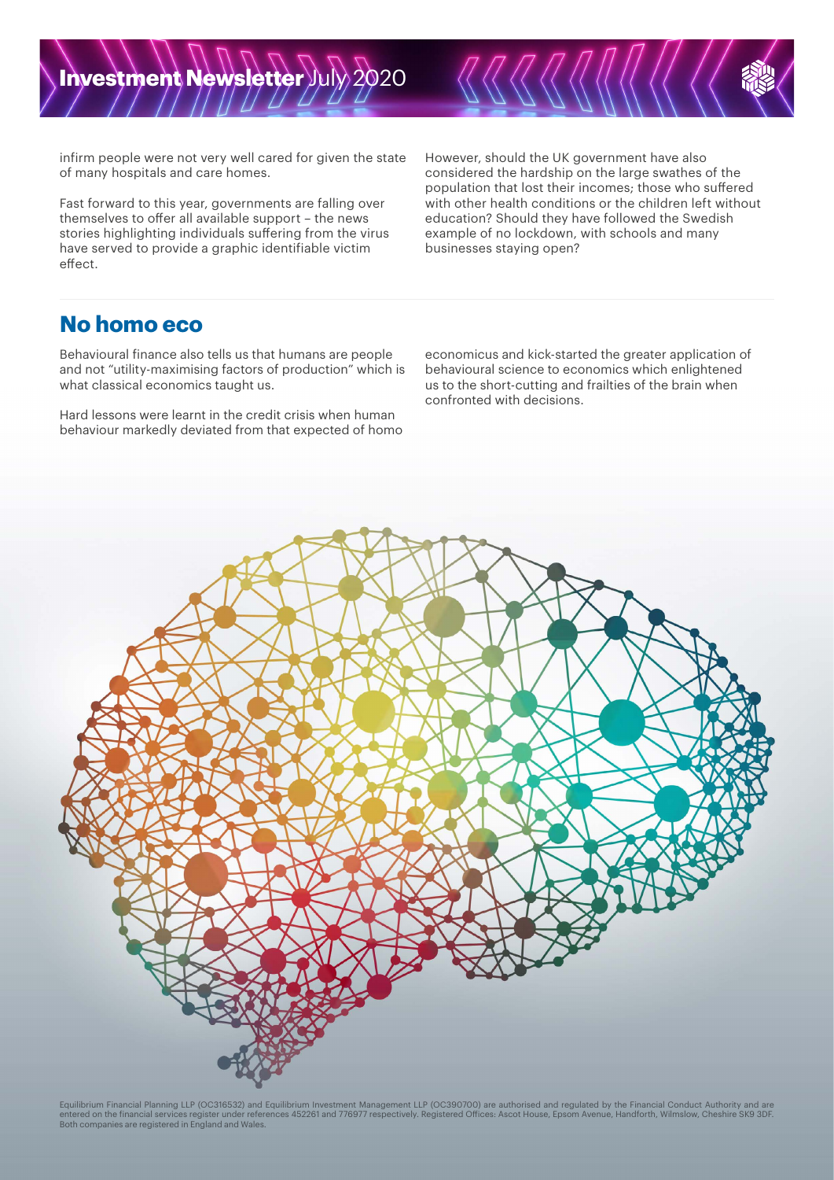infirm people were not very well cared for given the state of many hospitals and care homes.

Fast forward to this year, governments are falling over themselves to offer all available support – the news stories highlighting individuals suffering from the virus have served to provide a graphic identifiable victim effect.

However, should the UK government have also considered the hardship on the large swathes of the population that lost their incomes; those who suffered with other health conditions or the children left without education? Should they have followed the Swedish example of no lockdown, with schools and many businesses staying open?

### **No homo eco**

Behavioural finance also tells us that humans are people and not "utility-maximising factors of production" which is what classical economics taught us.

Hard lessons were learnt in the credit crisis when human behaviour markedly deviated from that expected of homo economicus and kick-started the greater application of behavioural science to economics which enlightened us to the short-cutting and frailties of the brain when confronted with decisions.



Equilibrium Financial Planning LLP (OC316532) and Equilibrium Investment Management LLP (OC390700) are authorised and regulated by the Financial Conduct Authority and are entered on the financial services register under references 452261 and 776977 respectively. Registered Offices: Ascot House, Epsom Avenue, Handforth, Wilmslow, Cheshire SK9 3DF.<br>Both companies are registered in England and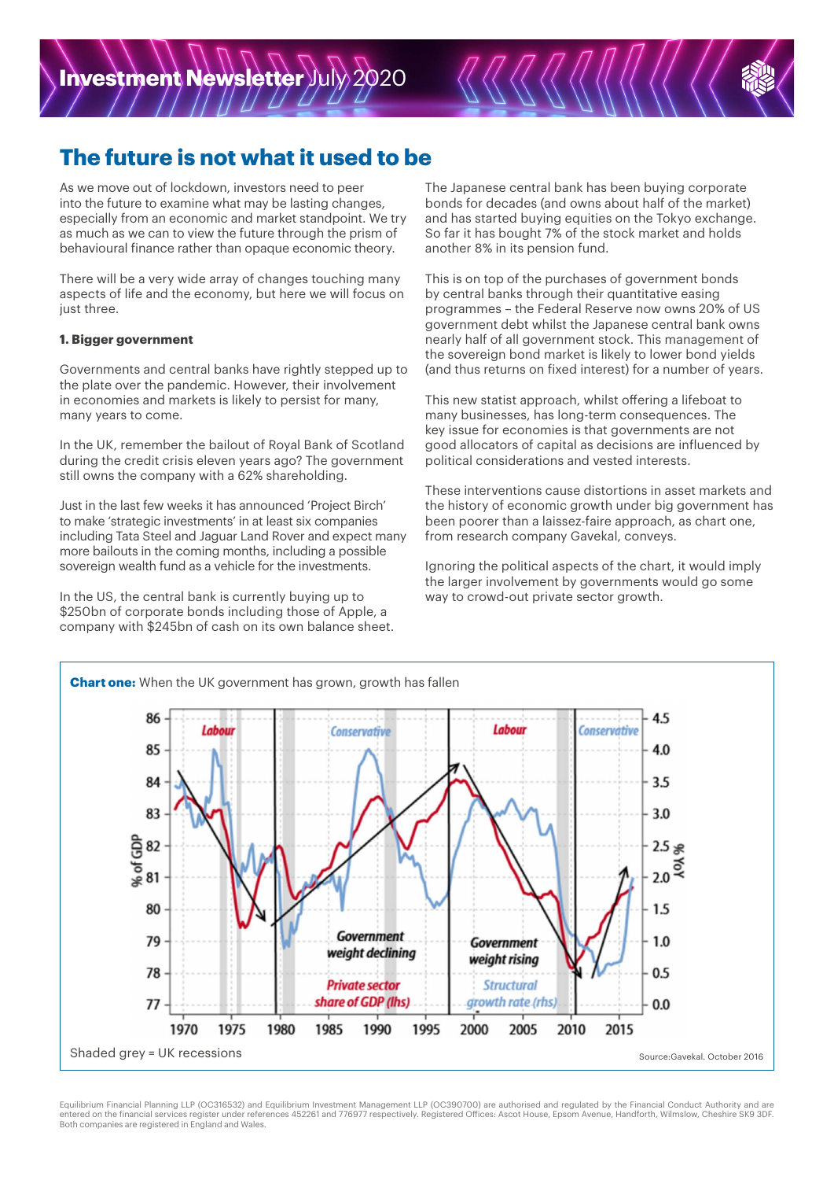

### **The future is not what it used to be**

As we move out of lockdown, investors need to peer into the future to examine what may be lasting changes, especially from an economic and market standpoint. We try as much as we can to view the future through the prism of behavioural finance rather than opaque economic theory.

There will be a very wide array of changes touching many aspects of life and the economy, but here we will focus on just three.

### **1. Bigger government**

Governments and central banks have rightly stepped up to the plate over the pandemic. However, their involvement in economies and markets is likely to persist for many, many years to come.

In the UK, remember the bailout of Royal Bank of Scotland during the credit crisis eleven years ago? The government still owns the company with a 62% shareholding.

Just in the last few weeks it has announced 'Project Birch' to make 'strategic investments' in at least six companies including Tata Steel and Jaguar Land Rover and expect many more bailouts in the coming months, including a possible sovereign wealth fund as a vehicle for the investments.

In the US, the central bank is currently buying up to \$250bn of corporate bonds including those of Apple, a company with \$245bn of cash on its own balance sheet. The Japanese central bank has been buying corporate bonds for decades (and owns about half of the market) and has started buying equities on the Tokyo exchange. So far it has bought 7% of the stock market and holds another 8% in its pension fund.

This is on top of the purchases of government bonds by central banks through their quantitative easing programmes – the Federal Reserve now owns 20% of US government debt whilst the Japanese central bank owns nearly half of all government stock. This management of the sovereign bond market is likely to lower bond yields (and thus returns on fixed interest) for a number of years.

This new statist approach, whilst offering a lifeboat to many businesses, has long-term consequences. The key issue for economies is that governments are not good allocators of capital as decisions are influenced by political considerations and vested interests.

These interventions cause distortions in asset markets and the history of economic growth under big government has been poorer than a laissez-faire approach, as chart one, from research company Gavekal, conveys.

Ignoring the political aspects of the chart, it would imply the larger involvement by governments would go some way to crowd-out private sector growth.



Equilibrium Financial Planning LLP (OC316532) and Equilibrium Investment Management LLP (OC390700) are authorised and regulated by the Financial Conduct Authority and are entered on the financial services register under references 452261 and 776977 respectively. Registered Offices: Ascot House, Epsom Avenue, Handforth, Wilmslow, Cheshire SK9 3DF. Both companies are registered in England and Wales.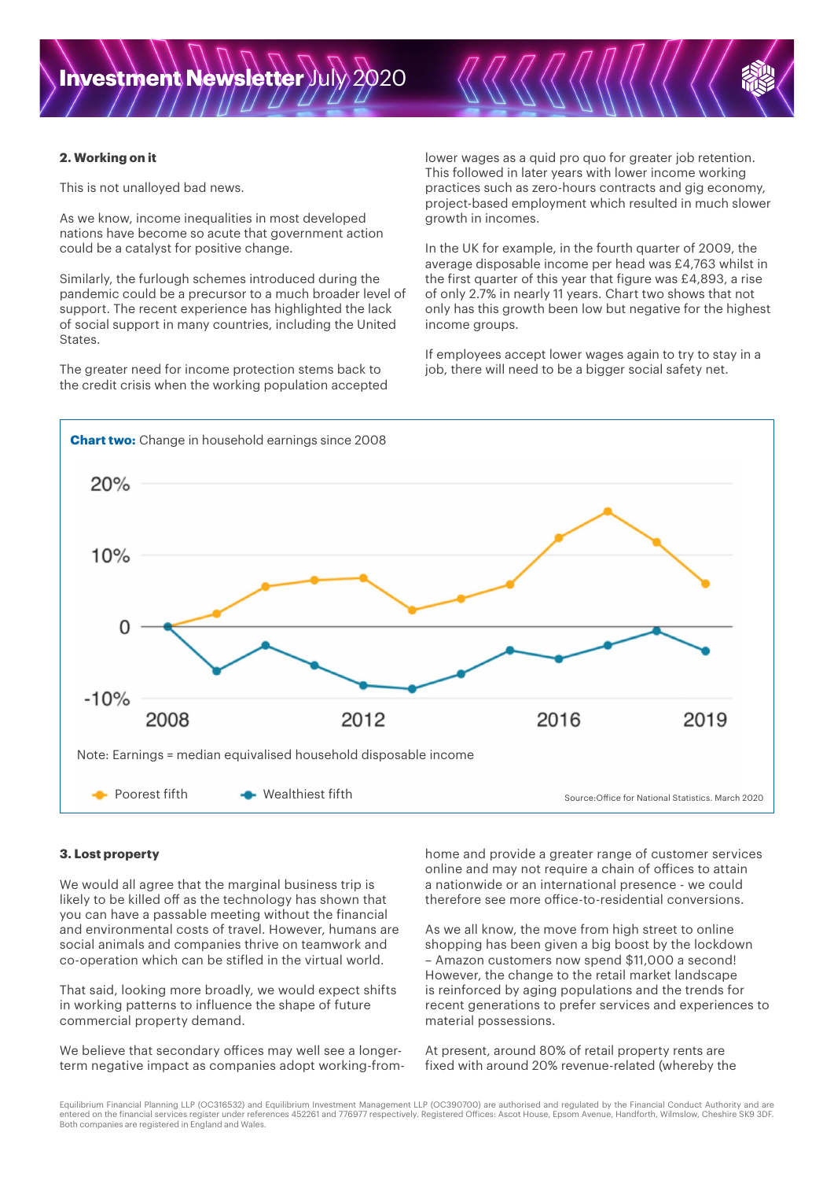#### **2. Working on it**

This is not unalloyed bad news.

As we know, income inequalities in most developed nations have become so acute that government action could be a catalyst for positive change.

Similarly, the furlough schemes introduced during the pandemic could be a precursor to a much broader level of support. The recent experience has highlighted the lack of social support in many countries, including the United States.

The greater need for income protection stems back to the credit crisis when the working population accepted lower wages as a quid pro quo for greater job retention. This followed in later years with lower income working practices such as zero-hours contracts and gig economy, project-based employment which resulted in much slower growth in incomes.

In the UK for example, in the fourth quarter of 2009, the average disposable income per head was £4,763 whilst in the first quarter of this year that figure was £4,893, a rise of only 2.7% in nearly 11 years. Chart two shows that not only has this growth been low but negative for the highest income groups.

If employees accept lower wages again to try to stay in a job, there will need to be a bigger social safety net.



#### **3. Lost property**

We would all agree that the marginal business trip is likely to be killed off as the technology has shown that you can have a passable meeting without the financial and environmental costs of travel. However, humans are social animals and companies thrive on teamwork and co-operation which can be stifled in the virtual world.

That said, looking more broadly, we would expect shifts in working patterns to influence the shape of future commercial property demand.

We believe that secondary offices may well see a longerterm negative impact as companies adopt working-fromhome and provide a greater range of customer services online and may not require a chain of offices to attain a nationwide or an international presence - we could therefore see more office-to-residential conversions.

As we all know, the move from high street to online shopping has been given a big boost by the lockdown – Amazon customers now spend \$11,000 a second! However, the change to the retail market landscape is reinforced by aging populations and the trends for recent generations to prefer services and experiences to material possessions.

At present, around 80% of retail property rents are fixed with around 20% revenue-related (whereby the

Equilibrium Financial Planning LLP (OC316532) and Equilibrium Investment Management LLP (OC390700) are authorised and regulated by the Financial Conduct Authority and are entered on the financial services register under references 452261 and 776977 respectively. Registered Offices: Ascot House, Epsom Avenue, Handforth, Wilmslow, Cheshire SK9 3DF. Both companies are registered in England and Wales.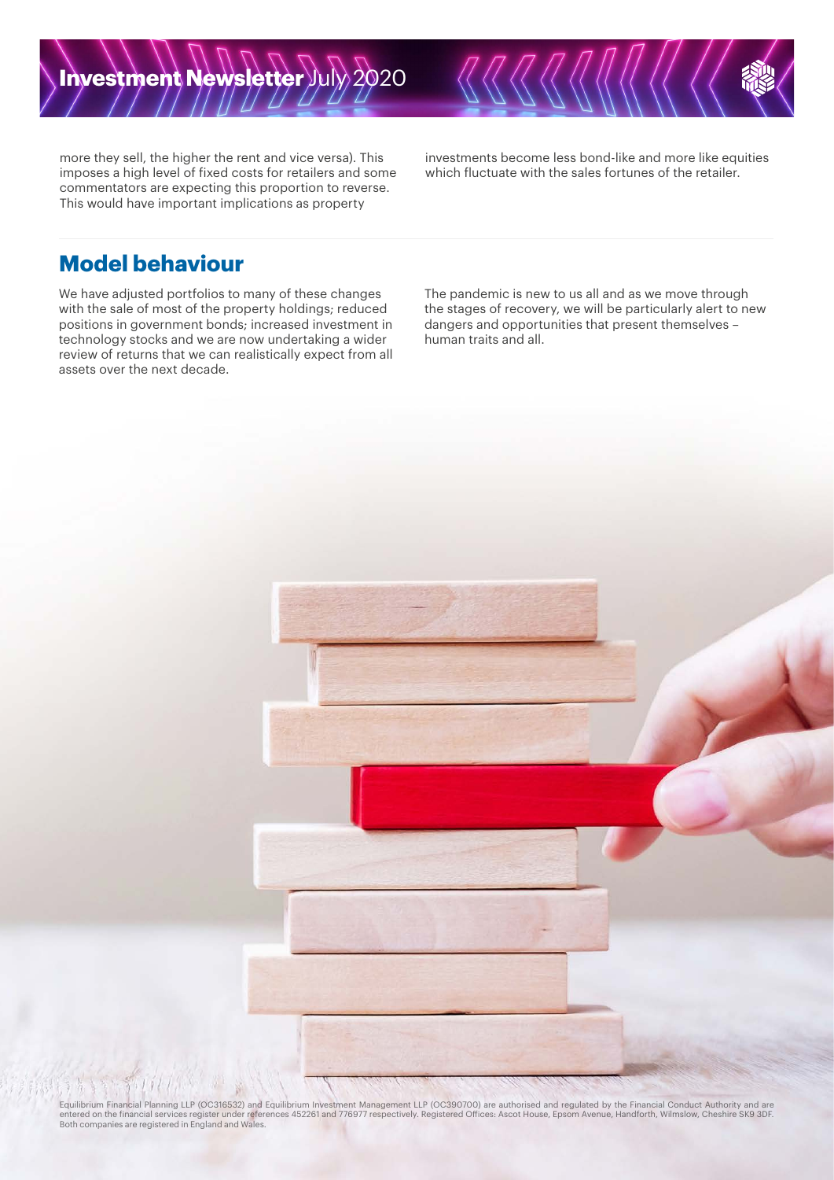more they sell, the higher the rent and vice versa). This imposes a high level of fixed costs for retailers and some commentators are expecting this proportion to reverse. This would have important implications as property

investments become less bond-like and more like equities which fluctuate with the sales fortunes of the retailer.

### **Model behaviour**

We have adjusted portfolios to many of these changes with the sale of most of the property holdings; reduced positions in government bonds; increased investment in technology stocks and we are now undertaking a wider review of returns that we can realistically expect from all assets over the next decade.

The pandemic is new to us all and as we move through the stages of recovery, we will be particularly alert to new dangers and opportunities that present themselves – human traits and all.



Equilibrium Financial Planning LLP (OC316532) and Equilibrium Investment Management LLP (OC390700) are authorised and regulated by the Financial Conduct Authority and are<br>entered on the financial services register under re